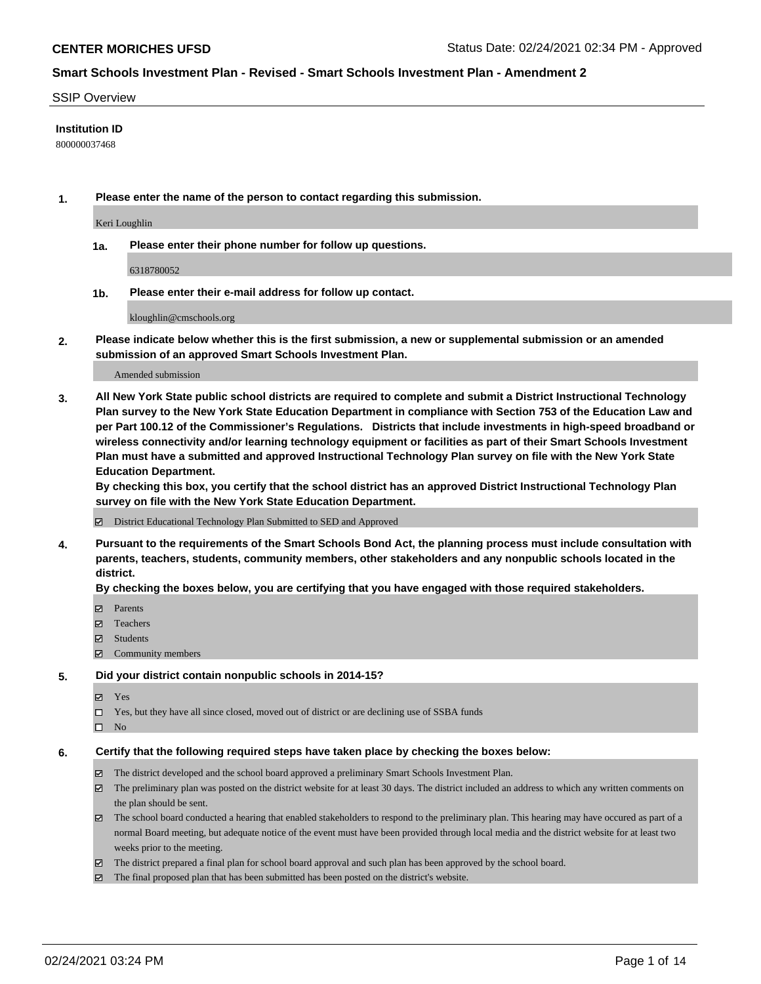## SSIP Overview

## **Institution ID**

800000037468

**1. Please enter the name of the person to contact regarding this submission.**

Keri Loughlin

**1a. Please enter their phone number for follow up questions.**

6318780052

**1b. Please enter their e-mail address for follow up contact.**

kloughlin@cmschools.org

**2. Please indicate below whether this is the first submission, a new or supplemental submission or an amended submission of an approved Smart Schools Investment Plan.**

## Amended submission

**3. All New York State public school districts are required to complete and submit a District Instructional Technology Plan survey to the New York State Education Department in compliance with Section 753 of the Education Law and per Part 100.12 of the Commissioner's Regulations. Districts that include investments in high-speed broadband or wireless connectivity and/or learning technology equipment or facilities as part of their Smart Schools Investment Plan must have a submitted and approved Instructional Technology Plan survey on file with the New York State Education Department.** 

**By checking this box, you certify that the school district has an approved District Instructional Technology Plan survey on file with the New York State Education Department.**

District Educational Technology Plan Submitted to SED and Approved

**4. Pursuant to the requirements of the Smart Schools Bond Act, the planning process must include consultation with parents, teachers, students, community members, other stakeholders and any nonpublic schools located in the district.** 

## **By checking the boxes below, you are certifying that you have engaged with those required stakeholders.**

- **Ø** Parents
- Teachers
- Students
- $\Xi$  Community members

## **5. Did your district contain nonpublic schools in 2014-15?**

- Yes
- □ Yes, but they have all since closed, moved out of district or are declining use of SSBA funds
- $\hfill \square$  No

## **6. Certify that the following required steps have taken place by checking the boxes below:**

- The district developed and the school board approved a preliminary Smart Schools Investment Plan.
- The preliminary plan was posted on the district website for at least 30 days. The district included an address to which any written comments on the plan should be sent.
- The school board conducted a hearing that enabled stakeholders to respond to the preliminary plan. This hearing may have occured as part of a normal Board meeting, but adequate notice of the event must have been provided through local media and the district website for at least two weeks prior to the meeting.
- The district prepared a final plan for school board approval and such plan has been approved by the school board.
- $\boxtimes$  The final proposed plan that has been submitted has been posted on the district's website.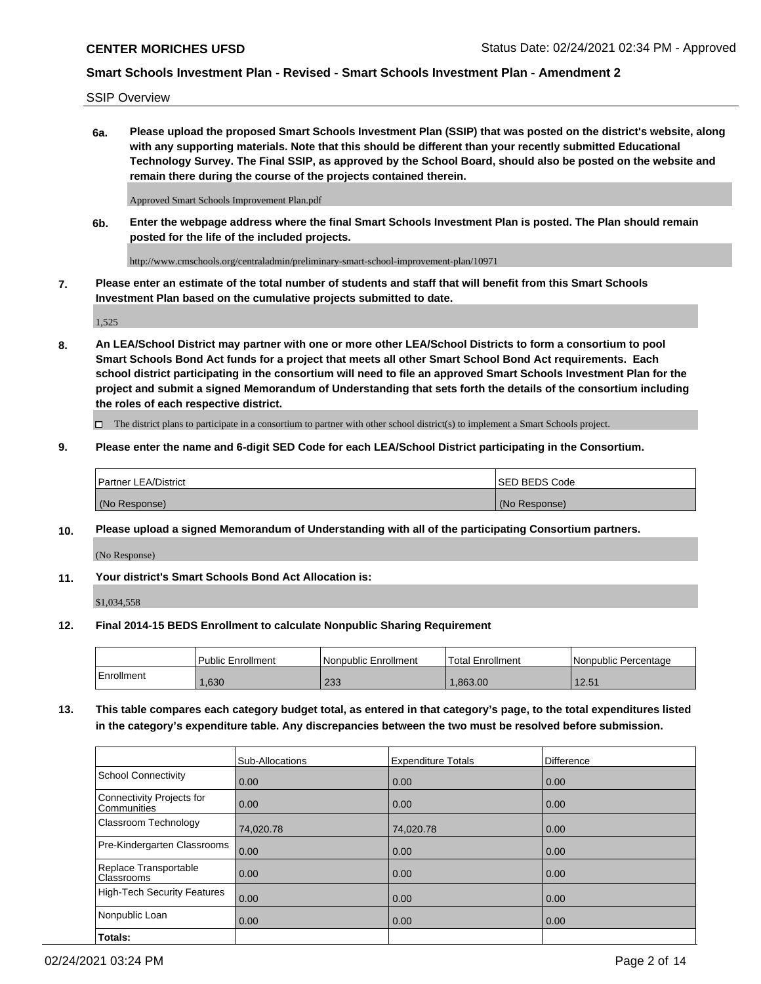SSIP Overview

**6a. Please upload the proposed Smart Schools Investment Plan (SSIP) that was posted on the district's website, along with any supporting materials. Note that this should be different than your recently submitted Educational Technology Survey. The Final SSIP, as approved by the School Board, should also be posted on the website and remain there during the course of the projects contained therein.**

Approved Smart Schools Improvement Plan.pdf

**6b. Enter the webpage address where the final Smart Schools Investment Plan is posted. The Plan should remain posted for the life of the included projects.**

http://www.cmschools.org/centraladmin/preliminary-smart-school-improvement-plan/10971

**7. Please enter an estimate of the total number of students and staff that will benefit from this Smart Schools Investment Plan based on the cumulative projects submitted to date.**

1,525

**8. An LEA/School District may partner with one or more other LEA/School Districts to form a consortium to pool Smart Schools Bond Act funds for a project that meets all other Smart School Bond Act requirements. Each school district participating in the consortium will need to file an approved Smart Schools Investment Plan for the project and submit a signed Memorandum of Understanding that sets forth the details of the consortium including the roles of each respective district.**

 $\Box$  The district plans to participate in a consortium to partner with other school district(s) to implement a Smart Schools project.

## **9. Please enter the name and 6-digit SED Code for each LEA/School District participating in the Consortium.**

| Partner LEA/District | <b>ISED BEDS Code</b> |
|----------------------|-----------------------|
| (No Response)        | (No Response)         |

## **10. Please upload a signed Memorandum of Understanding with all of the participating Consortium partners.**

(No Response)

**11. Your district's Smart Schools Bond Act Allocation is:**

\$1,034,558

## **12. Final 2014-15 BEDS Enrollment to calculate Nonpublic Sharing Requirement**

|            | Public Enrollment | Nonpublic Enrollment | Total Enrollment | l Nonpublic Percentage |
|------------|-------------------|----------------------|------------------|------------------------|
| Enrollment | .630              | റാറ<br>دد∠           | .863.00          | 12.51                  |

**13. This table compares each category budget total, as entered in that category's page, to the total expenditures listed in the category's expenditure table. Any discrepancies between the two must be resolved before submission.**

|                                          | Sub-Allocations | <b>Expenditure Totals</b> | <b>Difference</b> |
|------------------------------------------|-----------------|---------------------------|-------------------|
| <b>School Connectivity</b>               | 0.00            | 0.00                      | 0.00              |
| Connectivity Projects for<br>Communities | 0.00            | 0.00                      | 0.00              |
| Classroom Technology                     | 74,020.78       | 74,020.78                 | 0.00              |
| Pre-Kindergarten Classrooms              | 0.00            | 0.00                      | 0.00              |
| Replace Transportable<br>Classrooms      | 0.00            | 0.00                      | 0.00              |
| High-Tech Security Features              | 0.00            | 0.00                      | 0.00              |
| Nonpublic Loan                           | 0.00            | 0.00                      | 0.00              |
| Totals:                                  |                 |                           |                   |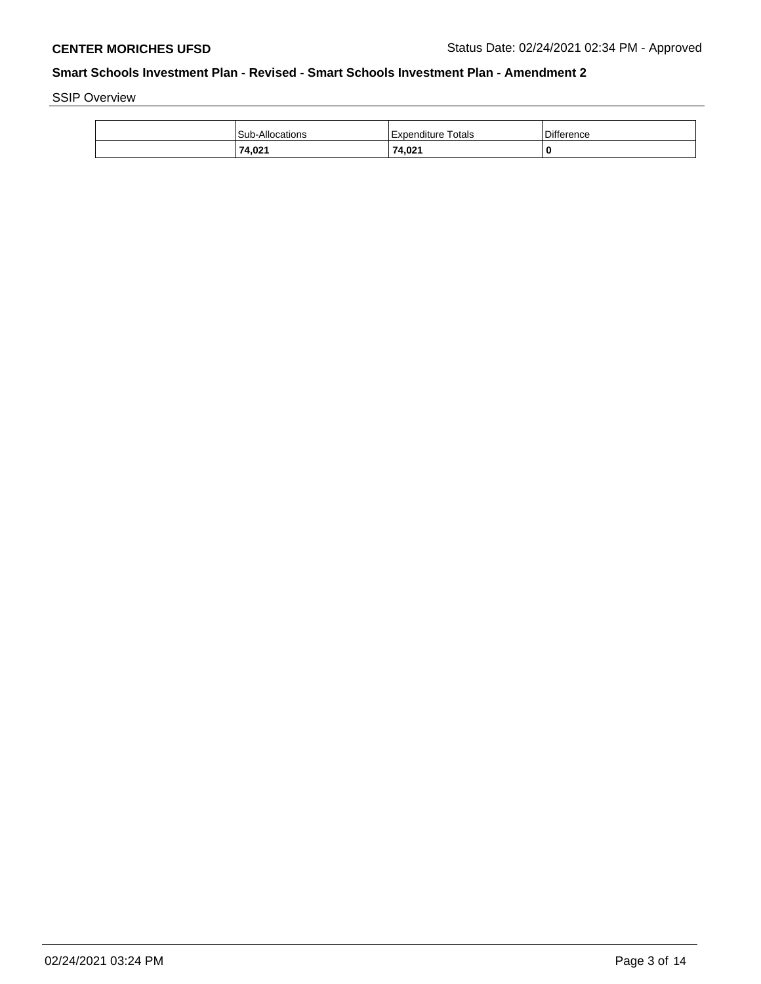SSIP Overview

| Sub-Allocations | Expenditure Totals | <b>Difference</b> |
|-----------------|--------------------|-------------------|
| 74,021          | 74,021             | C                 |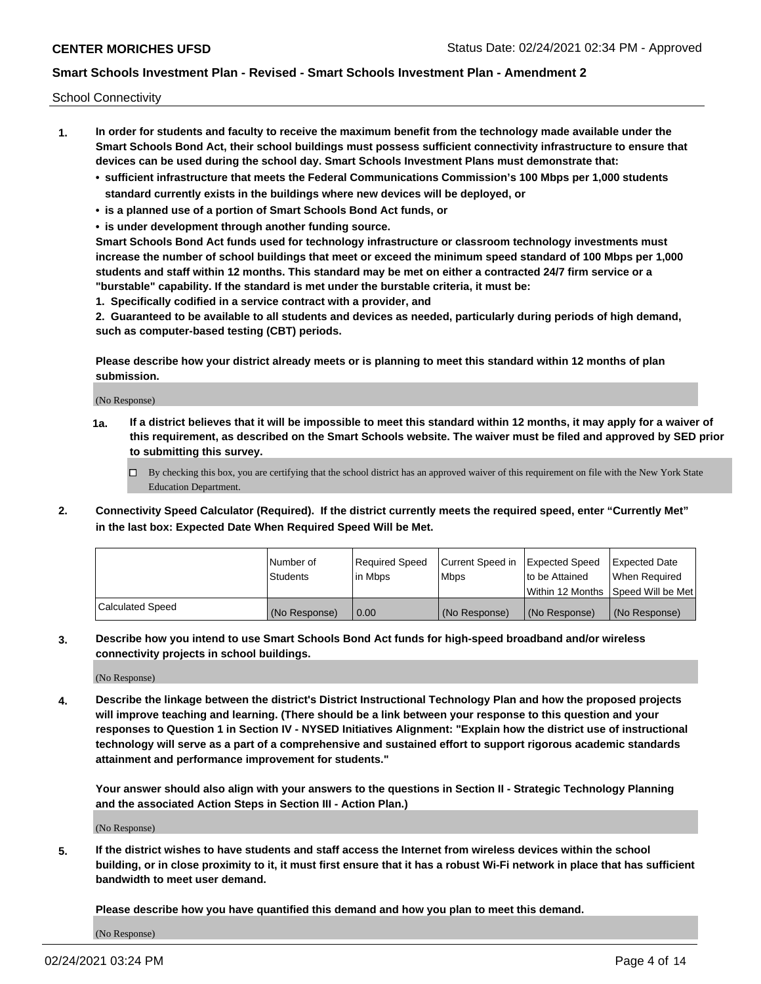School Connectivity

- **1. In order for students and faculty to receive the maximum benefit from the technology made available under the Smart Schools Bond Act, their school buildings must possess sufficient connectivity infrastructure to ensure that devices can be used during the school day. Smart Schools Investment Plans must demonstrate that:**
	- **• sufficient infrastructure that meets the Federal Communications Commission's 100 Mbps per 1,000 students standard currently exists in the buildings where new devices will be deployed, or**
	- **• is a planned use of a portion of Smart Schools Bond Act funds, or**
	- **• is under development through another funding source.**

**Smart Schools Bond Act funds used for technology infrastructure or classroom technology investments must increase the number of school buildings that meet or exceed the minimum speed standard of 100 Mbps per 1,000 students and staff within 12 months. This standard may be met on either a contracted 24/7 firm service or a "burstable" capability. If the standard is met under the burstable criteria, it must be:**

**1. Specifically codified in a service contract with a provider, and**

**2. Guaranteed to be available to all students and devices as needed, particularly during periods of high demand, such as computer-based testing (CBT) periods.**

**Please describe how your district already meets or is planning to meet this standard within 12 months of plan submission.**

(No Response)

**1a. If a district believes that it will be impossible to meet this standard within 12 months, it may apply for a waiver of this requirement, as described on the Smart Schools website. The waiver must be filed and approved by SED prior to submitting this survey.**

 $\Box$  By checking this box, you are certifying that the school district has an approved waiver of this requirement on file with the New York State Education Department.

**2. Connectivity Speed Calculator (Required). If the district currently meets the required speed, enter "Currently Met" in the last box: Expected Date When Required Speed Will be Met.**

|                  | l Number of     | Reauired Speed | Current Speed in | Expected Speed | Expected Date                       |
|------------------|-----------------|----------------|------------------|----------------|-------------------------------------|
|                  | <b>Students</b> | l in Mbps      | l Mbps           | to be Attained | When Required                       |
|                  |                 |                |                  |                | Within 12 Months ISpeed Will be Met |
| Calculated Speed | (No Response)   | 0.00           | (No Response)    | (No Response)  | (No Response)                       |

**3. Describe how you intend to use Smart Schools Bond Act funds for high-speed broadband and/or wireless connectivity projects in school buildings.**

(No Response)

**4. Describe the linkage between the district's District Instructional Technology Plan and how the proposed projects will improve teaching and learning. (There should be a link between your response to this question and your responses to Question 1 in Section IV - NYSED Initiatives Alignment: "Explain how the district use of instructional technology will serve as a part of a comprehensive and sustained effort to support rigorous academic standards attainment and performance improvement for students."** 

**Your answer should also align with your answers to the questions in Section II - Strategic Technology Planning and the associated Action Steps in Section III - Action Plan.)**

(No Response)

**5. If the district wishes to have students and staff access the Internet from wireless devices within the school building, or in close proximity to it, it must first ensure that it has a robust Wi-Fi network in place that has sufficient bandwidth to meet user demand.**

**Please describe how you have quantified this demand and how you plan to meet this demand.**

(No Response)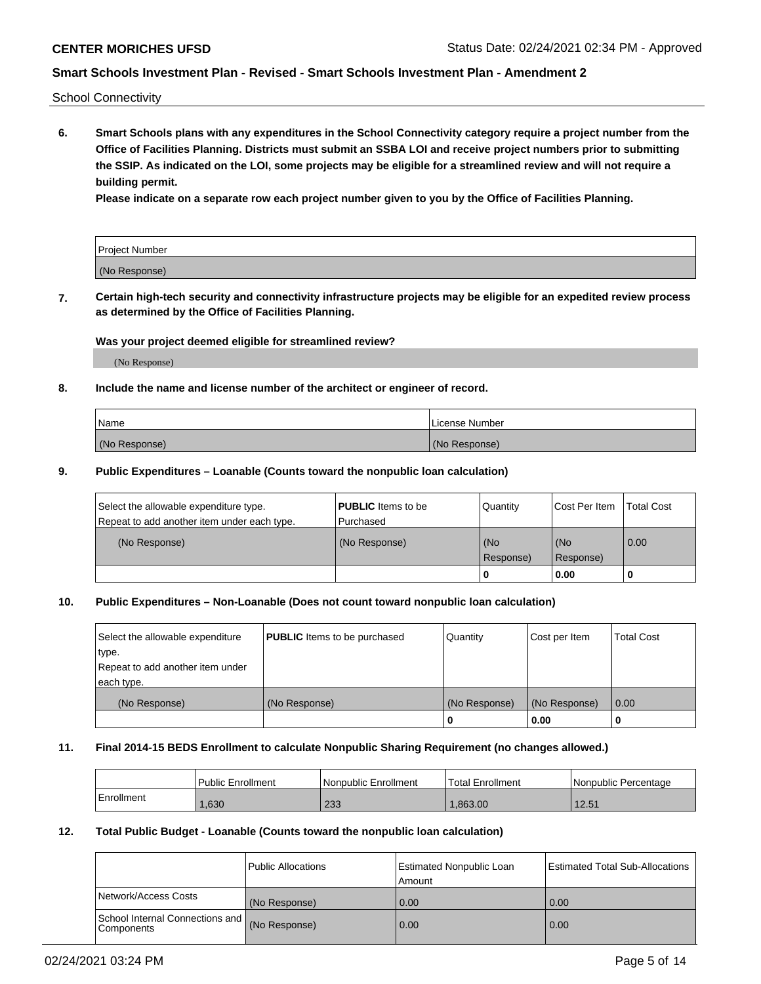School Connectivity

**6. Smart Schools plans with any expenditures in the School Connectivity category require a project number from the Office of Facilities Planning. Districts must submit an SSBA LOI and receive project numbers prior to submitting the SSIP. As indicated on the LOI, some projects may be eligible for a streamlined review and will not require a building permit.**

**Please indicate on a separate row each project number given to you by the Office of Facilities Planning.**

| Project Number |  |
|----------------|--|
| (No Response)  |  |

**7. Certain high-tech security and connectivity infrastructure projects may be eligible for an expedited review process as determined by the Office of Facilities Planning.**

## **Was your project deemed eligible for streamlined review?**

(No Response)

## **8. Include the name and license number of the architect or engineer of record.**

| Name          | License Number |
|---------------|----------------|
| (No Response) | (No Response)  |

## **9. Public Expenditures – Loanable (Counts toward the nonpublic loan calculation)**

| Select the allowable expenditure type.<br>Repeat to add another item under each type. | <b>PUBLIC</b> Items to be<br>l Purchased | Quantity           | Cost Per Item    | <b>Total Cost</b> |
|---------------------------------------------------------------------------------------|------------------------------------------|--------------------|------------------|-------------------|
| (No Response)                                                                         | (No Response)                            | l (No<br>Response) | (No<br>Response) | $\overline{0.00}$ |
|                                                                                       |                                          | O                  | 0.00             |                   |

# **10. Public Expenditures – Non-Loanable (Does not count toward nonpublic loan calculation)**

| Select the allowable expenditure<br>type.<br>Repeat to add another item under<br>each type. | <b>PUBLIC</b> Items to be purchased | Quantity      | Cost per Item | <b>Total Cost</b> |
|---------------------------------------------------------------------------------------------|-------------------------------------|---------------|---------------|-------------------|
| (No Response)                                                                               | (No Response)                       | (No Response) | (No Response) | 0.00              |
|                                                                                             |                                     |               | 0.00          |                   |

## **11. Final 2014-15 BEDS Enrollment to calculate Nonpublic Sharing Requirement (no changes allowed.)**

|            | Public Enrollment | Nonpublic Enrollment | 'Total Enrollment | l Nonpublic Percentage |
|------------|-------------------|----------------------|-------------------|------------------------|
| Enrollment | .630              | റാറ<br>دد∠           | .863.00           | 12.51                  |

## **12. Total Public Budget - Loanable (Counts toward the nonpublic loan calculation)**

|                                                      | Public Allocations | <b>Estimated Nonpublic Loan</b><br>Amount | Estimated Total Sub-Allocations |
|------------------------------------------------------|--------------------|-------------------------------------------|---------------------------------|
| Network/Access Costs                                 | (No Response)      | 0.00                                      | 0.00                            |
| School Internal Connections and<br><b>Components</b> | (No Response)      | 0.00                                      | 0.00                            |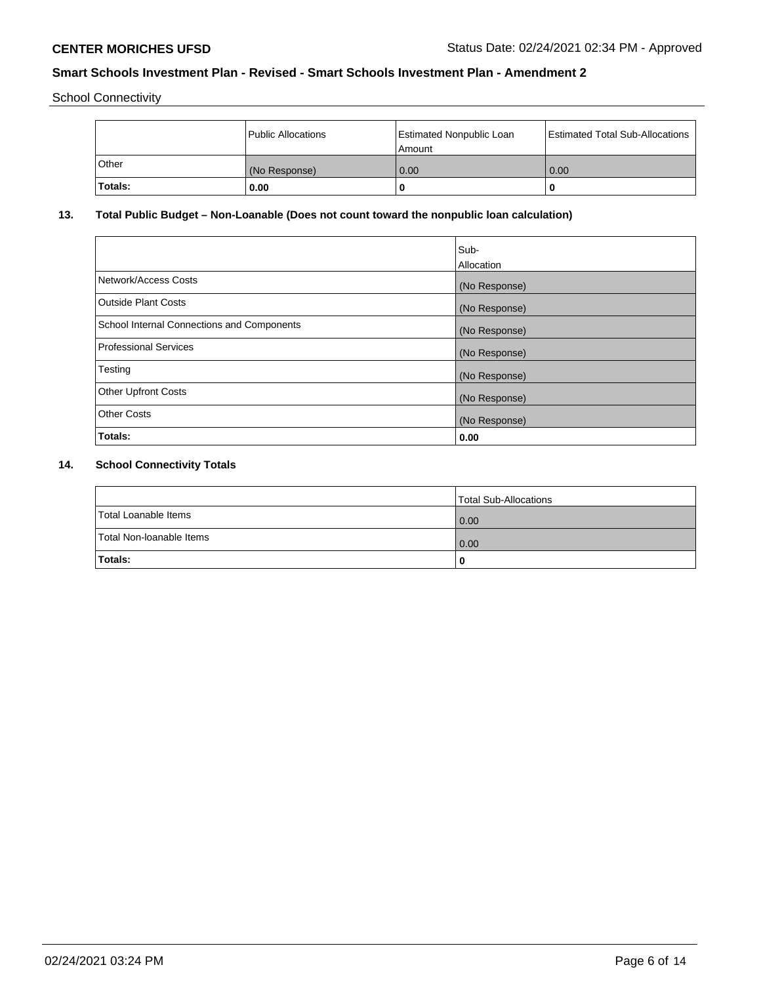School Connectivity

|         | Public Allocations | <b>Estimated Nonpublic Loan</b><br>l Amount | <b>Estimated Total Sub-Allocations</b> |
|---------|--------------------|---------------------------------------------|----------------------------------------|
| l Other | (No Response)      | 0.00                                        | 0.00                                   |
| Totals: | 0.00               | 0                                           |                                        |

# **13. Total Public Budget – Non-Loanable (Does not count toward the nonpublic loan calculation)**

|                                                   | Sub-<br>Allocation |
|---------------------------------------------------|--------------------|
| Network/Access Costs                              | (No Response)      |
| <b>Outside Plant Costs</b>                        | (No Response)      |
| <b>School Internal Connections and Components</b> | (No Response)      |
| Professional Services                             | (No Response)      |
| Testing                                           | (No Response)      |
| <b>Other Upfront Costs</b>                        | (No Response)      |
| <b>Other Costs</b>                                | (No Response)      |
| <b>Totals:</b>                                    | 0.00               |

# **14. School Connectivity Totals**

|                          | Total Sub-Allocations |
|--------------------------|-----------------------|
| Total Loanable Items     | 0.00                  |
| Total Non-Ioanable Items | 0.00                  |
| Totals:                  | 0                     |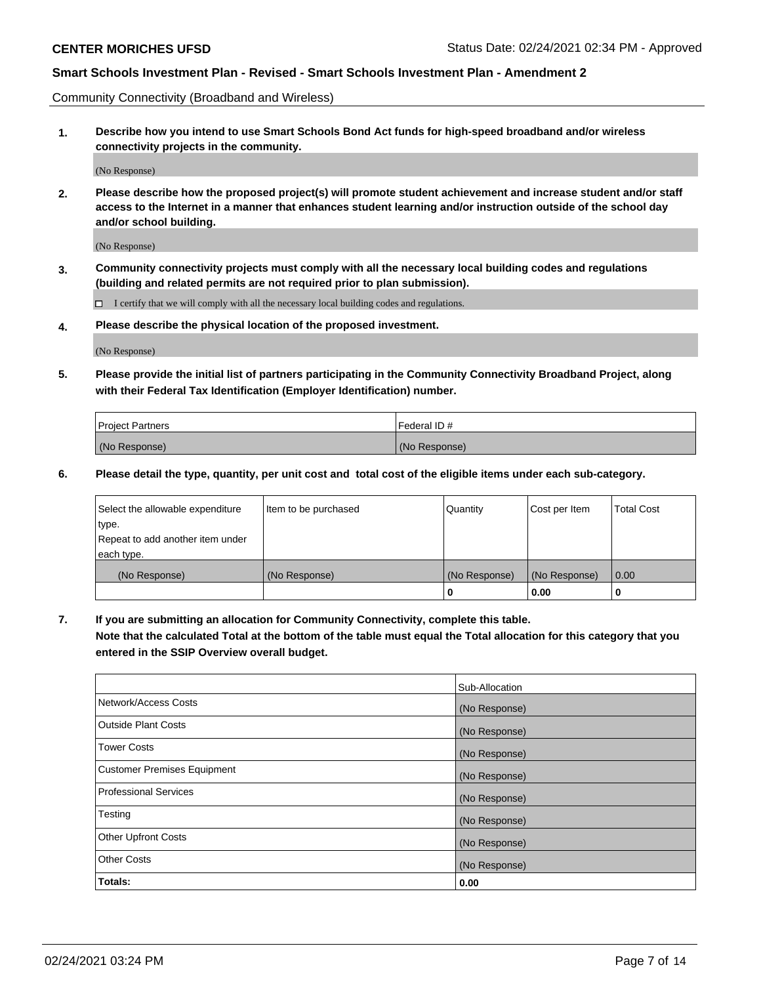Community Connectivity (Broadband and Wireless)

**1. Describe how you intend to use Smart Schools Bond Act funds for high-speed broadband and/or wireless connectivity projects in the community.**

(No Response)

**2. Please describe how the proposed project(s) will promote student achievement and increase student and/or staff access to the Internet in a manner that enhances student learning and/or instruction outside of the school day and/or school building.**

(No Response)

**3. Community connectivity projects must comply with all the necessary local building codes and regulations (building and related permits are not required prior to plan submission).**

 $\Box$  I certify that we will comply with all the necessary local building codes and regulations.

**4. Please describe the physical location of the proposed investment.**

(No Response)

**5. Please provide the initial list of partners participating in the Community Connectivity Broadband Project, along with their Federal Tax Identification (Employer Identification) number.**

| <b>Project Partners</b> | l Federal ID # |
|-------------------------|----------------|
| (No Response)           | (No Response)  |

**6. Please detail the type, quantity, per unit cost and total cost of the eligible items under each sub-category.**

| Select the allowable expenditure | Item to be purchased | Quantity      | Cost per Item | <b>Total Cost</b> |
|----------------------------------|----------------------|---------------|---------------|-------------------|
| type.                            |                      |               |               |                   |
| Repeat to add another item under |                      |               |               |                   |
| each type.                       |                      |               |               |                   |
| (No Response)                    | (No Response)        | (No Response) | (No Response) | 0.00              |
|                                  |                      | o             | 0.00          |                   |

**7. If you are submitting an allocation for Community Connectivity, complete this table.**

**Note that the calculated Total at the bottom of the table must equal the Total allocation for this category that you entered in the SSIP Overview overall budget.**

|                                    | Sub-Allocation |
|------------------------------------|----------------|
| Network/Access Costs               | (No Response)  |
| Outside Plant Costs                | (No Response)  |
| <b>Tower Costs</b>                 | (No Response)  |
| <b>Customer Premises Equipment</b> | (No Response)  |
| <b>Professional Services</b>       | (No Response)  |
| Testing                            | (No Response)  |
| <b>Other Upfront Costs</b>         | (No Response)  |
| <b>Other Costs</b>                 | (No Response)  |
| Totals:                            | 0.00           |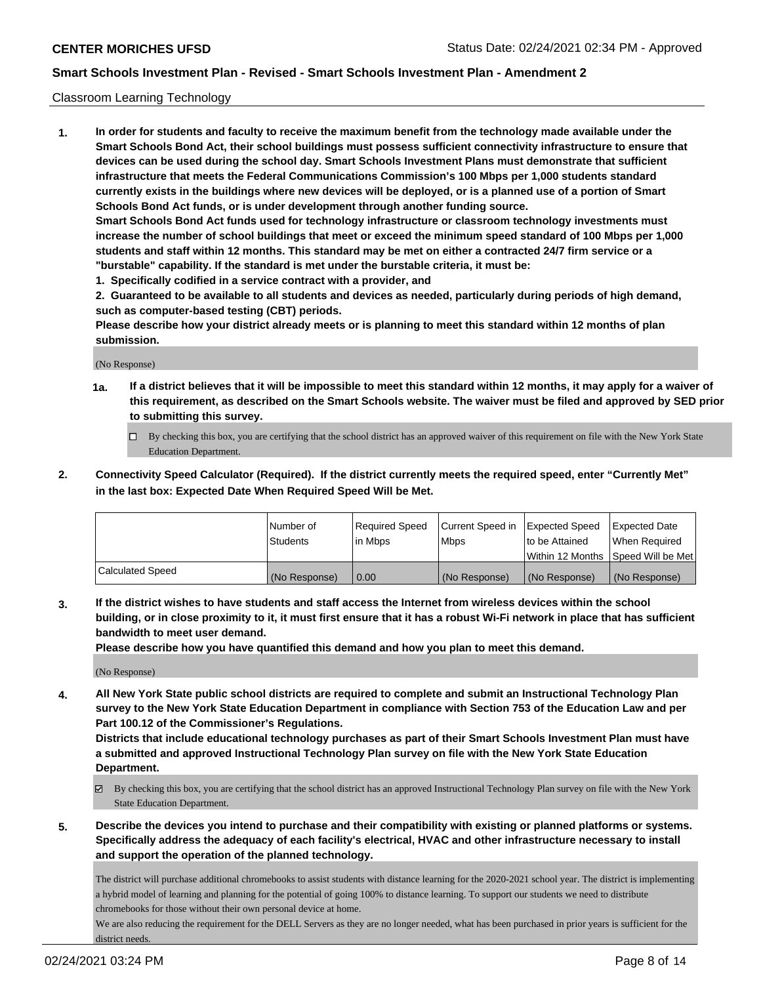## Classroom Learning Technology

**1. In order for students and faculty to receive the maximum benefit from the technology made available under the Smart Schools Bond Act, their school buildings must possess sufficient connectivity infrastructure to ensure that devices can be used during the school day. Smart Schools Investment Plans must demonstrate that sufficient infrastructure that meets the Federal Communications Commission's 100 Mbps per 1,000 students standard currently exists in the buildings where new devices will be deployed, or is a planned use of a portion of Smart Schools Bond Act funds, or is under development through another funding source. Smart Schools Bond Act funds used for technology infrastructure or classroom technology investments must increase the number of school buildings that meet or exceed the minimum speed standard of 100 Mbps per 1,000 students and staff within 12 months. This standard may be met on either a contracted 24/7 firm service or a**

- **"burstable" capability. If the standard is met under the burstable criteria, it must be:**
- **1. Specifically codified in a service contract with a provider, and**

**2. Guaranteed to be available to all students and devices as needed, particularly during periods of high demand, such as computer-based testing (CBT) periods.**

**Please describe how your district already meets or is planning to meet this standard within 12 months of plan submission.**

(No Response)

- **1a. If a district believes that it will be impossible to meet this standard within 12 months, it may apply for a waiver of this requirement, as described on the Smart Schools website. The waiver must be filed and approved by SED prior to submitting this survey.**
	- By checking this box, you are certifying that the school district has an approved waiver of this requirement on file with the New York State Education Department.
- **2. Connectivity Speed Calculator (Required). If the district currently meets the required speed, enter "Currently Met" in the last box: Expected Date When Required Speed Will be Met.**

|                  | l Number of     | Required Speed | Current Speed in | <b>Expected Speed</b> | <b>Expected Date</b>                |
|------------------|-----------------|----------------|------------------|-----------------------|-------------------------------------|
|                  | <b>Students</b> | l in Mbps      | l Mbps           | to be Attained        | When Required                       |
|                  |                 |                |                  |                       | Within 12 Months  Speed Will be Met |
| Calculated Speed | (No Response)   | 0.00           | (No Response)    | l (No Response)       | (No Response)                       |

**3. If the district wishes to have students and staff access the Internet from wireless devices within the school building, or in close proximity to it, it must first ensure that it has a robust Wi-Fi network in place that has sufficient bandwidth to meet user demand.**

**Please describe how you have quantified this demand and how you plan to meet this demand.**

(No Response)

**4. All New York State public school districts are required to complete and submit an Instructional Technology Plan survey to the New York State Education Department in compliance with Section 753 of the Education Law and per Part 100.12 of the Commissioner's Regulations.**

**Districts that include educational technology purchases as part of their Smart Schools Investment Plan must have a submitted and approved Instructional Technology Plan survey on file with the New York State Education Department.**

- By checking this box, you are certifying that the school district has an approved Instructional Technology Plan survey on file with the New York State Education Department.
- **5. Describe the devices you intend to purchase and their compatibility with existing or planned platforms or systems. Specifically address the adequacy of each facility's electrical, HVAC and other infrastructure necessary to install and support the operation of the planned technology.**

The district will purchase additional chromebooks to assist students with distance learning for the 2020-2021 school year. The district is implementing a hybrid model of learning and planning for the potential of going 100% to distance learning. To support our students we need to distribute chromebooks for those without their own personal device at home.

We are also reducing the requirement for the DELL Servers as they are no longer needed, what has been purchased in prior years is sufficient for the district needs.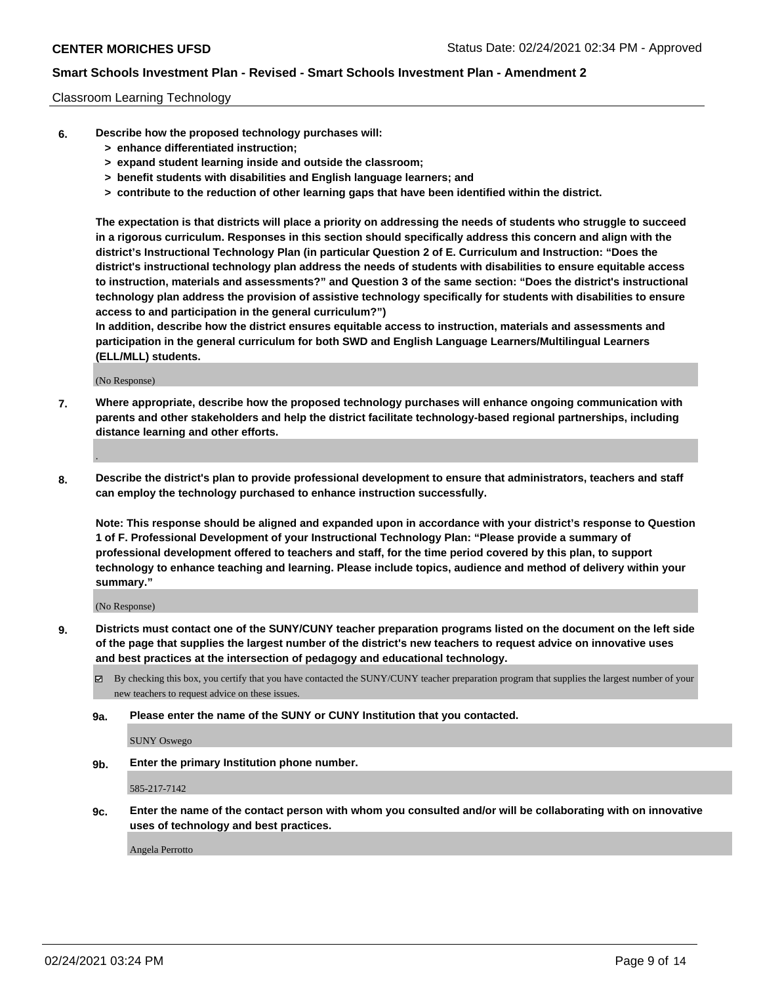## Classroom Learning Technology

- **6. Describe how the proposed technology purchases will:**
	- **> enhance differentiated instruction;**
	- **> expand student learning inside and outside the classroom;**
	- **> benefit students with disabilities and English language learners; and**
	- **> contribute to the reduction of other learning gaps that have been identified within the district.**

**The expectation is that districts will place a priority on addressing the needs of students who struggle to succeed in a rigorous curriculum. Responses in this section should specifically address this concern and align with the district's Instructional Technology Plan (in particular Question 2 of E. Curriculum and Instruction: "Does the district's instructional technology plan address the needs of students with disabilities to ensure equitable access to instruction, materials and assessments?" and Question 3 of the same section: "Does the district's instructional technology plan address the provision of assistive technology specifically for students with disabilities to ensure access to and participation in the general curriculum?")**

**In addition, describe how the district ensures equitable access to instruction, materials and assessments and participation in the general curriculum for both SWD and English Language Learners/Multilingual Learners (ELL/MLL) students.**

(No Response)

**7. Where appropriate, describe how the proposed technology purchases will enhance ongoing communication with parents and other stakeholders and help the district facilitate technology-based regional partnerships, including distance learning and other efforts.**

.

**8. Describe the district's plan to provide professional development to ensure that administrators, teachers and staff can employ the technology purchased to enhance instruction successfully.**

**Note: This response should be aligned and expanded upon in accordance with your district's response to Question 1 of F. Professional Development of your Instructional Technology Plan: "Please provide a summary of professional development offered to teachers and staff, for the time period covered by this plan, to support technology to enhance teaching and learning. Please include topics, audience and method of delivery within your summary."**

(No Response)

- **9. Districts must contact one of the SUNY/CUNY teacher preparation programs listed on the document on the left side of the page that supplies the largest number of the district's new teachers to request advice on innovative uses and best practices at the intersection of pedagogy and educational technology.**
	- $\boxtimes$  By checking this box, you certify that you have contacted the SUNY/CUNY teacher preparation program that supplies the largest number of your new teachers to request advice on these issues.
	- **9a. Please enter the name of the SUNY or CUNY Institution that you contacted.**

SUNY Oswego

**9b. Enter the primary Institution phone number.**

585-217-7142

**9c. Enter the name of the contact person with whom you consulted and/or will be collaborating with on innovative uses of technology and best practices.**

Angela Perrotto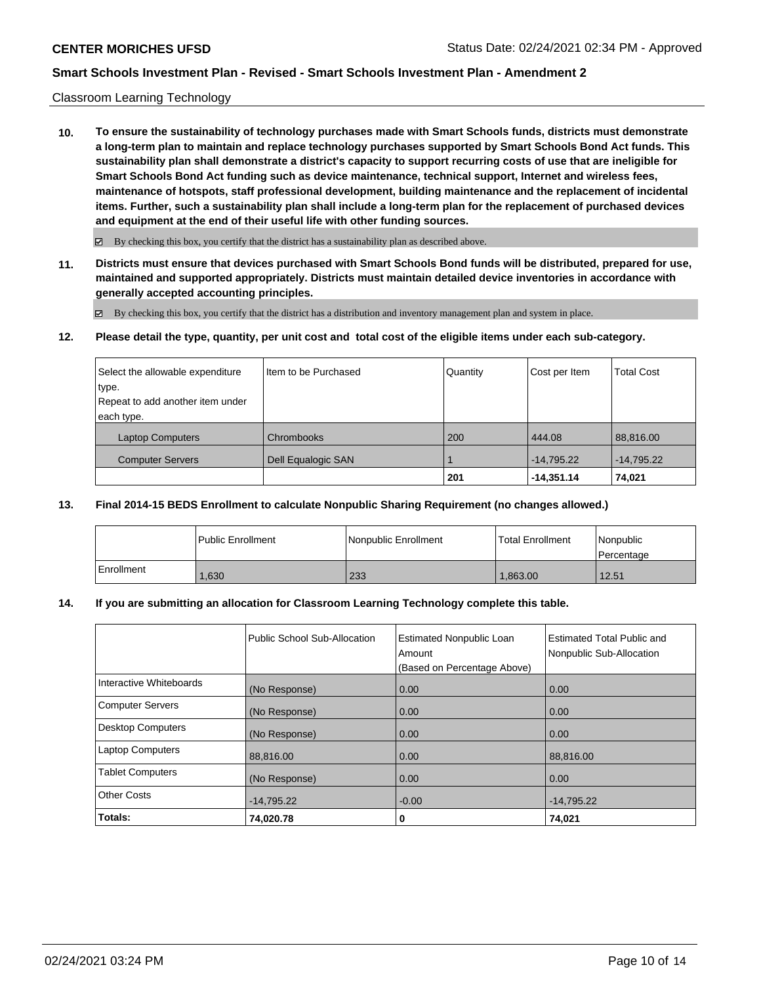## Classroom Learning Technology

**10. To ensure the sustainability of technology purchases made with Smart Schools funds, districts must demonstrate a long-term plan to maintain and replace technology purchases supported by Smart Schools Bond Act funds. This sustainability plan shall demonstrate a district's capacity to support recurring costs of use that are ineligible for Smart Schools Bond Act funding such as device maintenance, technical support, Internet and wireless fees, maintenance of hotspots, staff professional development, building maintenance and the replacement of incidental items. Further, such a sustainability plan shall include a long-term plan for the replacement of purchased devices and equipment at the end of their useful life with other funding sources.**

 $\boxtimes$  By checking this box, you certify that the district has a sustainability plan as described above.

**11. Districts must ensure that devices purchased with Smart Schools Bond funds will be distributed, prepared for use, maintained and supported appropriately. Districts must maintain detailed device inventories in accordance with generally accepted accounting principles.**

By checking this box, you certify that the district has a distribution and inventory management plan and system in place.

**12. Please detail the type, quantity, per unit cost and total cost of the eligible items under each sub-category.**

| Select the allowable expenditure | Item to be Purchased | Quantity | Cost per Item | <b>Total Cost</b> |
|----------------------------------|----------------------|----------|---------------|-------------------|
| type.                            |                      |          |               |                   |
| Repeat to add another item under |                      |          |               |                   |
| each type.                       |                      |          |               |                   |
| Laptop Computers                 | <b>Chrombooks</b>    | 200      | 444.08        | 88,816.00         |
| <b>Computer Servers</b>          | Dell Equalogic SAN   |          | $-14,795.22$  | $-14,795.22$      |
|                                  |                      | 201      | $-14,351.14$  | 74,021            |

## **13. Final 2014-15 BEDS Enrollment to calculate Nonpublic Sharing Requirement (no changes allowed.)**

|            | l Public Enrollment | Nonpublic Enrollment | Total Enrollment | l Nonpublic<br>Percentage |
|------------|---------------------|----------------------|------------------|---------------------------|
| Enrollment | .630                | 233                  | 1.863.00         | 12.51                     |

## **14. If you are submitting an allocation for Classroom Learning Technology complete this table.**

|                          | Public School Sub-Allocation | <b>Estimated Nonpublic Loan</b><br>Amount<br>(Based on Percentage Above) | <b>Estimated Total Public and</b><br>Nonpublic Sub-Allocation |
|--------------------------|------------------------------|--------------------------------------------------------------------------|---------------------------------------------------------------|
| Interactive Whiteboards  | (No Response)                | 0.00                                                                     | 0.00                                                          |
| <b>Computer Servers</b>  | (No Response)                | 0.00                                                                     | 0.00                                                          |
| <b>Desktop Computers</b> | (No Response)                | 0.00                                                                     | 0.00                                                          |
| <b>Laptop Computers</b>  | 88,816.00                    | 0.00                                                                     | 88,816.00                                                     |
| <b>Tablet Computers</b>  | (No Response)                | 0.00                                                                     | 0.00                                                          |
| <b>Other Costs</b>       | $-14,795.22$                 | $-0.00$                                                                  | $-14,795.22$                                                  |
| Totals:                  | 74,020.78                    | 0                                                                        | 74,021                                                        |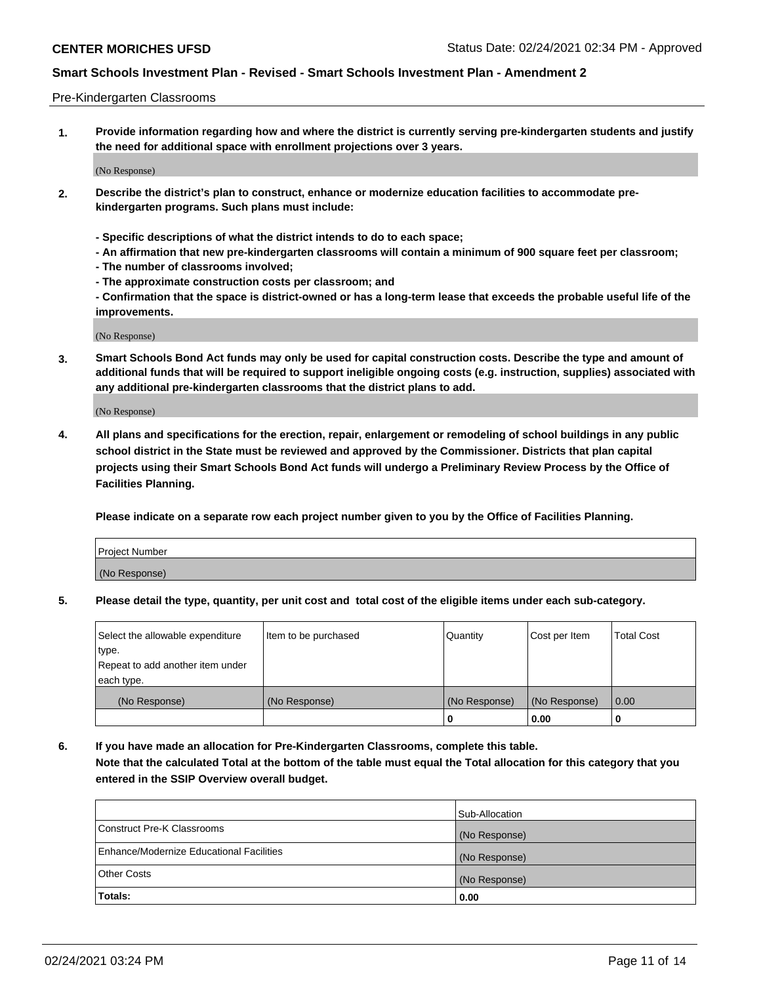## Pre-Kindergarten Classrooms

**1. Provide information regarding how and where the district is currently serving pre-kindergarten students and justify the need for additional space with enrollment projections over 3 years.**

(No Response)

- **2. Describe the district's plan to construct, enhance or modernize education facilities to accommodate prekindergarten programs. Such plans must include:**
	- **Specific descriptions of what the district intends to do to each space;**
	- **An affirmation that new pre-kindergarten classrooms will contain a minimum of 900 square feet per classroom;**
	- **The number of classrooms involved;**
	- **The approximate construction costs per classroom; and**
	- **Confirmation that the space is district-owned or has a long-term lease that exceeds the probable useful life of the improvements.**

(No Response)

**3. Smart Schools Bond Act funds may only be used for capital construction costs. Describe the type and amount of additional funds that will be required to support ineligible ongoing costs (e.g. instruction, supplies) associated with any additional pre-kindergarten classrooms that the district plans to add.**

(No Response)

**4. All plans and specifications for the erection, repair, enlargement or remodeling of school buildings in any public school district in the State must be reviewed and approved by the Commissioner. Districts that plan capital projects using their Smart Schools Bond Act funds will undergo a Preliminary Review Process by the Office of Facilities Planning.**

**Please indicate on a separate row each project number given to you by the Office of Facilities Planning.**

| Project Number |  |
|----------------|--|
| (No Response)  |  |
|                |  |

**5. Please detail the type, quantity, per unit cost and total cost of the eligible items under each sub-category.**

| Select the allowable expenditure | Item to be purchased | Quantity      | Cost per Item | <b>Total Cost</b> |
|----------------------------------|----------------------|---------------|---------------|-------------------|
| type.                            |                      |               |               |                   |
| Repeat to add another item under |                      |               |               |                   |
| each type.                       |                      |               |               |                   |
| (No Response)                    | (No Response)        | (No Response) | (No Response) | 0.00              |
|                                  |                      | U             | 0.00          |                   |

**6. If you have made an allocation for Pre-Kindergarten Classrooms, complete this table. Note that the calculated Total at the bottom of the table must equal the Total allocation for this category that you entered in the SSIP Overview overall budget.**

| Totals:                                  | 0.00           |
|------------------------------------------|----------------|
| <b>Other Costs</b>                       | (No Response)  |
| Enhance/Modernize Educational Facilities | (No Response)  |
| Construct Pre-K Classrooms               | (No Response)  |
|                                          | Sub-Allocation |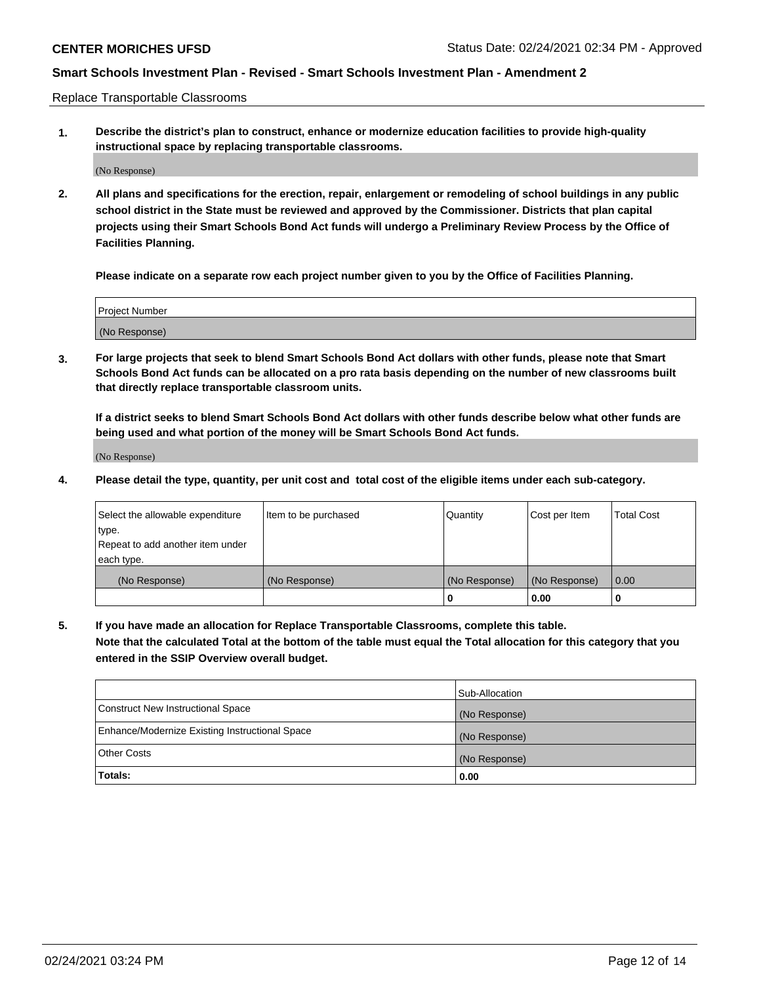Replace Transportable Classrooms

**1. Describe the district's plan to construct, enhance or modernize education facilities to provide high-quality instructional space by replacing transportable classrooms.**

(No Response)

**2. All plans and specifications for the erection, repair, enlargement or remodeling of school buildings in any public school district in the State must be reviewed and approved by the Commissioner. Districts that plan capital projects using their Smart Schools Bond Act funds will undergo a Preliminary Review Process by the Office of Facilities Planning.**

**Please indicate on a separate row each project number given to you by the Office of Facilities Planning.**

| Project Number |  |
|----------------|--|
|                |  |
|                |  |
|                |  |
|                |  |
| (No Response)  |  |
|                |  |
|                |  |
|                |  |

**3. For large projects that seek to blend Smart Schools Bond Act dollars with other funds, please note that Smart Schools Bond Act funds can be allocated on a pro rata basis depending on the number of new classrooms built that directly replace transportable classroom units.**

**If a district seeks to blend Smart Schools Bond Act dollars with other funds describe below what other funds are being used and what portion of the money will be Smart Schools Bond Act funds.**

(No Response)

**4. Please detail the type, quantity, per unit cost and total cost of the eligible items under each sub-category.**

| Select the allowable expenditure | Item to be purchased | Quantity      | Cost per Item | Total Cost |
|----------------------------------|----------------------|---------------|---------------|------------|
| ∣type.                           |                      |               |               |            |
| Repeat to add another item under |                      |               |               |            |
| each type.                       |                      |               |               |            |
| (No Response)                    | (No Response)        | (No Response) | (No Response) | 0.00       |
|                                  |                      | u             | 0.00          |            |

**5. If you have made an allocation for Replace Transportable Classrooms, complete this table. Note that the calculated Total at the bottom of the table must equal the Total allocation for this category that you entered in the SSIP Overview overall budget.**

|                                                | Sub-Allocation |
|------------------------------------------------|----------------|
| Construct New Instructional Space              | (No Response)  |
| Enhance/Modernize Existing Instructional Space | (No Response)  |
| Other Costs                                    | (No Response)  |
| Totals:                                        | 0.00           |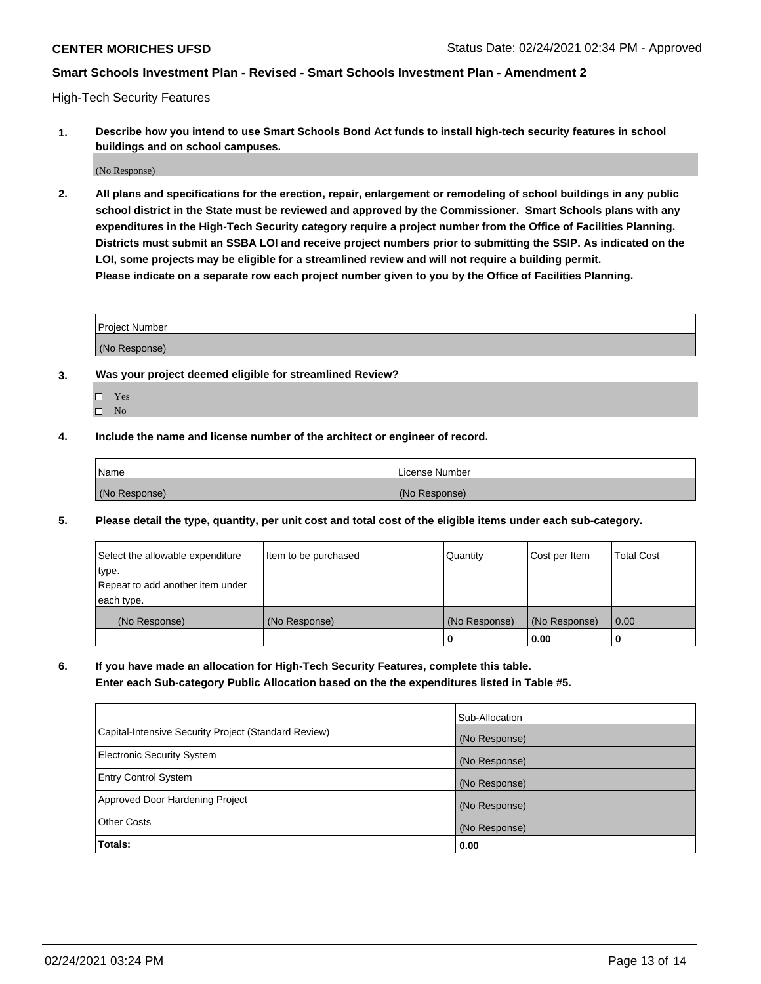High-Tech Security Features

**1. Describe how you intend to use Smart Schools Bond Act funds to install high-tech security features in school buildings and on school campuses.**

(No Response)

**2. All plans and specifications for the erection, repair, enlargement or remodeling of school buildings in any public school district in the State must be reviewed and approved by the Commissioner. Smart Schools plans with any expenditures in the High-Tech Security category require a project number from the Office of Facilities Planning. Districts must submit an SSBA LOI and receive project numbers prior to submitting the SSIP. As indicated on the LOI, some projects may be eligible for a streamlined review and will not require a building permit. Please indicate on a separate row each project number given to you by the Office of Facilities Planning.**

| <b>Project Number</b> |  |
|-----------------------|--|
|                       |  |
| (No Response)         |  |

- **3. Was your project deemed eligible for streamlined Review?**
	- Yes
	- $\hfill \square$  No
- **4. Include the name and license number of the architect or engineer of record.**

| Name          | License Number |
|---------------|----------------|
| (No Response) | (No Response)  |

**5. Please detail the type, quantity, per unit cost and total cost of the eligible items under each sub-category.**

| Select the allowable expenditure | Item to be purchased | Quantity      | Cost per Item | <b>Total Cost</b> |
|----------------------------------|----------------------|---------------|---------------|-------------------|
| type.                            |                      |               |               |                   |
| Repeat to add another item under |                      |               |               |                   |
| each type.                       |                      |               |               |                   |
| (No Response)                    | (No Response)        | (No Response) | (No Response) | 0.00              |
|                                  |                      | 0             | 0.00          |                   |

**6. If you have made an allocation for High-Tech Security Features, complete this table.**

**Enter each Sub-category Public Allocation based on the the expenditures listed in Table #5.**

|                                                      | Sub-Allocation |
|------------------------------------------------------|----------------|
| Capital-Intensive Security Project (Standard Review) | (No Response)  |
| <b>Electronic Security System</b>                    | (No Response)  |
| <b>Entry Control System</b>                          | (No Response)  |
| Approved Door Hardening Project                      | (No Response)  |
| <b>Other Costs</b>                                   | (No Response)  |
| Totals:                                              | 0.00           |